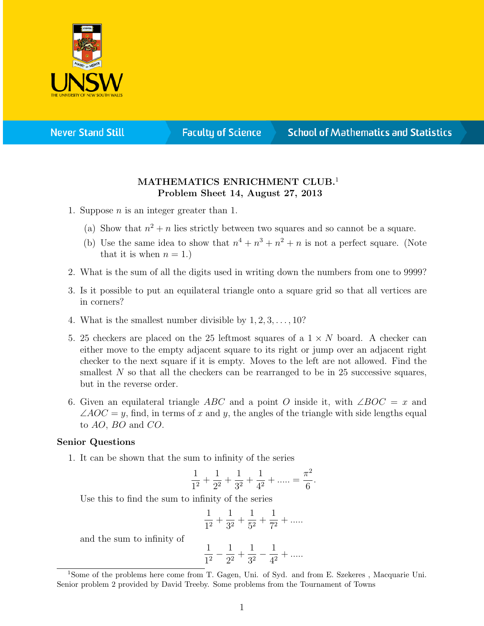

**Never Stand Still** 

**Faculty of Science** 

## **School of Mathematics and Statistics**

## MATHEMATICS ENRICHMENT CLUB.<sup>1</sup> Problem Sheet 14, August 27, 2013

- 1. Suppose  $n$  is an integer greater than 1.
	- (a) Show that  $n^2 + n$  lies strictly between two squares and so cannot be a square.
	- (b) Use the same idea to show that  $n^4 + n^3 + n^2 + n$  is not a perfect square. (Note that it is when  $n = 1$ .
- 2. What is the sum of all the digits used in writing down the numbers from one to 9999?
- 3. Is it possible to put an equilateral triangle onto a square grid so that all vertices are in corners?
- 4. What is the smallest number divisible by  $1, 2, 3, \ldots, 10$ ?
- 5. 25 checkers are placed on the 25 leftmost squares of a  $1 \times N$  board. A checker can either move to the empty adjacent square to its right or jump over an adjacent right checker to the next square if it is empty. Moves to the left are not allowed. Find the smallest  $N$  so that all the checkers can be rearranged to be in 25 successive squares, but in the reverse order.
- 6. Given an equilateral triangle ABC and a point O inside it, with ∠BOC = x and  $\angle AOC = y$ , find, in terms of x and y, the angles of the triangle with side lengths equal to AO, BO and CO.

## Senior Questions

1. It can be shown that the sum to infinity of the series

$$
\frac{1}{1^2} + \frac{1}{2^2} + \frac{1}{3^2} + \frac{1}{4^2} + \dots = \frac{\pi^2}{6}.
$$

Use this to find the sum to infinity of the series

$$
\frac{1}{1^2} + \frac{1}{3^2} + \frac{1}{5^2} + \frac{1}{7^2} + \dots
$$

and the sum to infinity of

$$
\frac{1}{1^2}-\frac{1}{2^2}+\frac{1}{3^2}-\frac{1}{4^2}+......
$$

<sup>1</sup>Some of the problems here come from T. Gagen, Uni. of Syd. and from E. Szekeres , Macquarie Uni. Senior problem 2 provided by David Treeby. Some problems from the Tournament of Towns